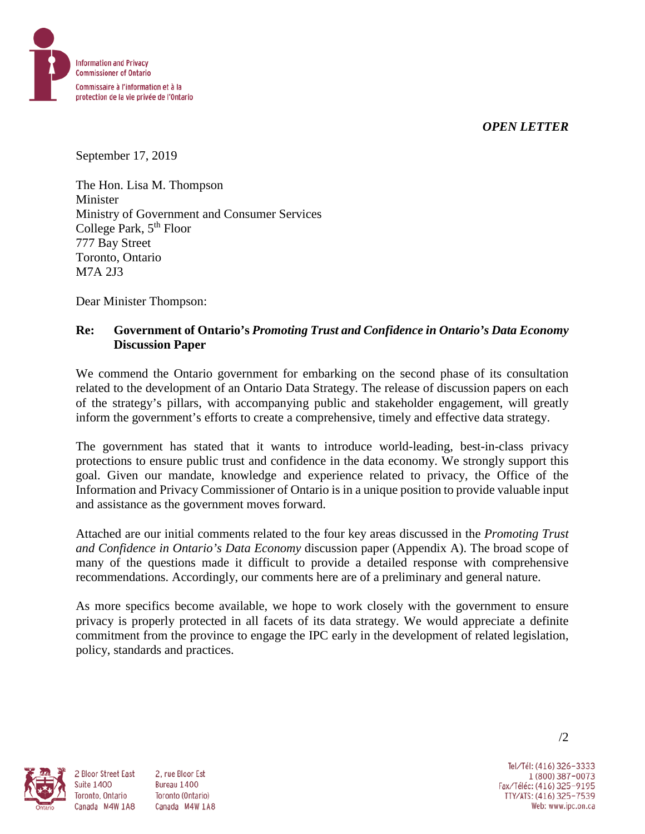*OPEN LETTER*



September 17, 2019

The Hon. Lisa M. Thompson Minister Ministry of Government and Consumer Services College Park,  $5<sup>th</sup>$  Floor 777 Bay Street Toronto, Ontario M7A 2J3

Dear Minister Thompson:

#### **Re: Government of Ontario's** *Promoting Trust and Confidence in Ontario's Data Economy* **Discussion Paper**

We commend the Ontario government for embarking on the second phase of its consultation related to the development of an Ontario Data Strategy. The release of discussion papers on each of the strategy's pillars, with accompanying public and stakeholder engagement, will greatly inform the government's efforts to create a comprehensive, timely and effective data strategy.

The government has stated that it wants to introduce world-leading, best-in-class privacy protections to ensure public trust and confidence in the data economy. We strongly support this goal. Given our mandate, knowledge and experience related to privacy, the Office of the Information and Privacy Commissioner of Ontario is in a unique position to provide valuable input and assistance as the government moves forward.

Attached are our initial comments related to the four key areas discussed in the *Promoting Trust and Confidence in Ontario's Data Economy* discussion paper (Appendix A). The broad scope of many of the questions made it difficult to provide a detailed response with comprehensive recommendations. Accordingly, our comments here are of a preliminary and general nature.

As more specifics become available, we hope to work closely with the government to ensure privacy is properly protected in all facets of its data strategy. We would appreciate a definite commitment from the province to engage the IPC early in the development of related legislation, policy, standards and practices.



2 Bloor Street East

Toronto, Ontario

**Suite 1400** 

2. rue Bloor Est Bureau 1400 Toronto (Ontario) Canada M4W 1A8 Canada M4W 1A8

Tel/Tél: (416) 326-3333 1 (800) 387-0073 Fax/Téléc: (416) 325-9195 TTY/ATS: (416) 325-7539<br>Web: www.ipc.on.ca

/2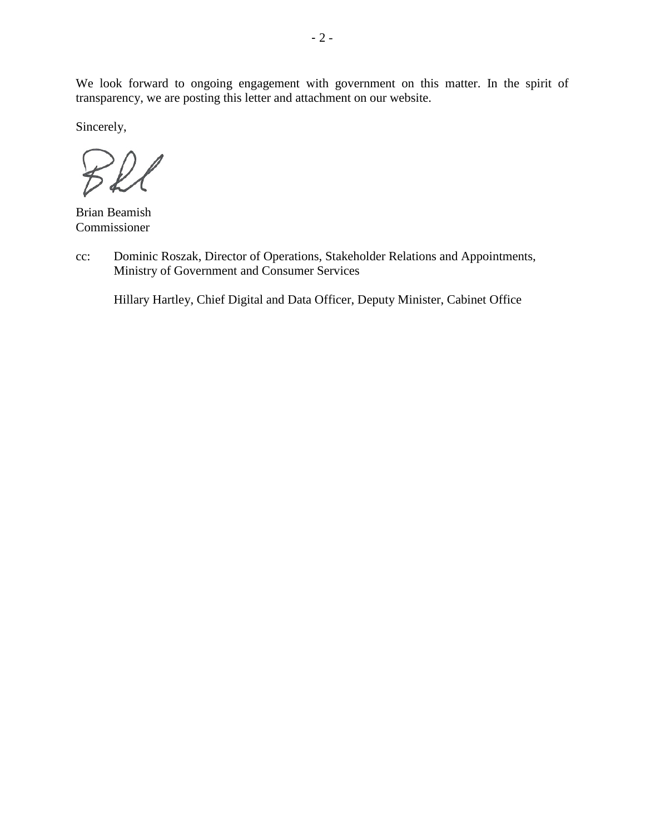We look forward to ongoing engagement with government on this matter. In the spirit of transparency, we are posting this letter and attachment on our website.

Sincerely,

Brian Beamish Commissioner

cc: Dominic Roszak, Director of Operations, Stakeholder Relations and Appointments, Ministry of Government and Consumer Services

Hillary Hartley, Chief Digital and Data Officer, Deputy Minister, Cabinet Office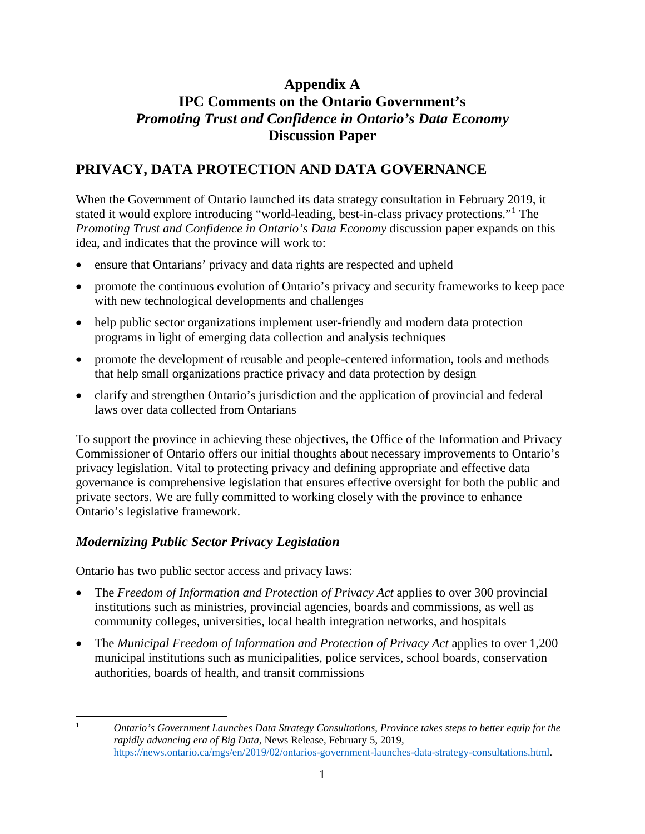## **Appendix A IPC Comments on the Ontario Government's** *Promoting Trust and Confidence in Ontario's Data Economy* **Discussion Paper**

# **PRIVACY, DATA PROTECTION AND DATA GOVERNANCE**

When the Government of Ontario launched its data strategy consultation in February 2019, it stated it would explore introducing "world-leading, best-in-class privacy protections."[1](#page-2-0) The *Promoting Trust and Confidence in Ontario's Data Economy* discussion paper expands on this idea, and indicates that the province will work to:

- ensure that Ontarians' privacy and data rights are respected and upheld
- promote the continuous evolution of Ontario's privacy and security frameworks to keep pace with new technological developments and challenges
- help public sector organizations implement user-friendly and modern data protection programs in light of emerging data collection and analysis techniques
- promote the development of reusable and people-centered information, tools and methods that help small organizations practice privacy and data protection by design
- clarify and strengthen Ontario's jurisdiction and the application of provincial and federal laws over data collected from Ontarians

To support the province in achieving these objectives, the Office of the Information and Privacy Commissioner of Ontario offers our initial thoughts about necessary improvements to Ontario's privacy legislation. Vital to protecting privacy and defining appropriate and effective data governance is comprehensive legislation that ensures effective oversight for both the public and private sectors. We are fully committed to working closely with the province to enhance Ontario's legislative framework.

## *Modernizing Public Sector Privacy Legislation*

Ontario has two public sector access and privacy laws:

- The *Freedom of Information and Protection of Privacy Act* applies to over 300 provincial institutions such as ministries, provincial agencies, boards and commissions, as well as community colleges, universities, local health integration networks, and hospitals
- The *Municipal Freedom of Information and Protection of Privacy Act* applies to over 1,200 municipal institutions such as municipalities, police services, school boards, conservation authorities, boards of health, and transit commissions

<span id="page-2-0"></span> $\mathbf{1}$ 

<sup>1</sup> *Ontario's Government Launches Data Strategy Consultations, Province takes steps to better equip for the rapidly advancing era of Big Data*, News Release, February 5, 2019, [https://news.ontario.ca/mgs/en/2019/02/ontarios-government-launches-data-strategy-consultations.html.](https://news.ontario.ca/mgs/en/2019/02/ontarios-government-launches-data-strategy-consultations.html)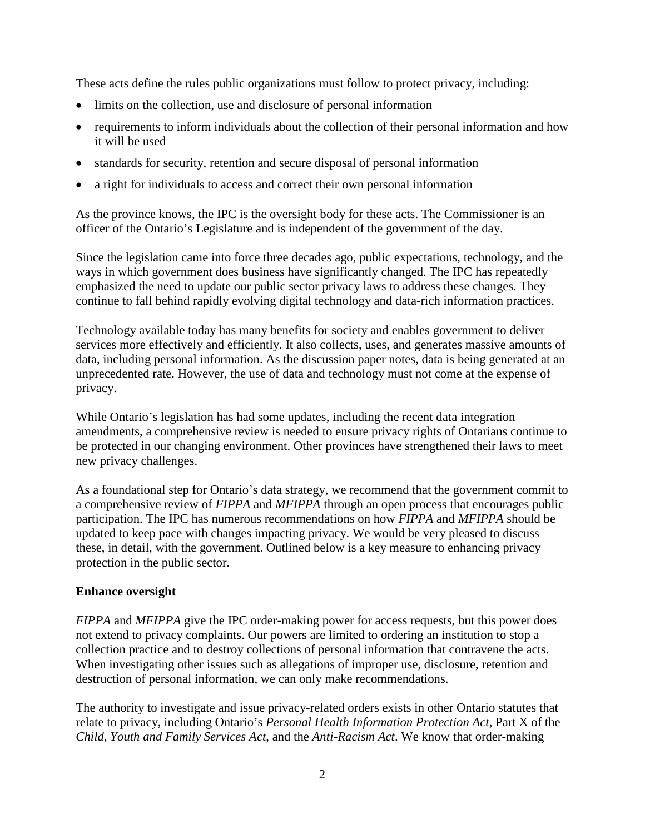These acts define the rules public organizations must follow to protect privacy, including:

- limits on the collection, use and disclosure of personal information
- requirements to inform individuals about the collection of their personal information and how it will be used
- standards for security, retention and secure disposal of personal information
- a right for individuals to access and correct their own personal information

As the province knows, the IPC is the oversight body for these acts. The Commissioner is an officer of the Ontario's Legislature and is independent of the government of the day.

Since the legislation came into force three decades ago, public expectations, technology, and the ways in which government does business have significantly changed. The IPC has repeatedly emphasized the need to update our public sector privacy laws to address these changes. They continue to fall behind rapidly evolving digital technology and data-rich information practices.

Technology available today has many benefits for society and enables government to deliver services more effectively and efficiently. It also collects, uses, and generates massive amounts of data, including personal information. As the discussion paper notes, data is being generated at an unprecedented rate. However, the use of data and technology must not come at the expense of privacy.

While Ontario's legislation has had some updates, including the recent data integration amendments, a comprehensive review is needed to ensure privacy rights of Ontarians continue to be protected in our changing environment. Other provinces have strengthened their laws to meet new privacy challenges.

As a foundational step for Ontario's data strategy, we recommend that the government commit to a comprehensive review of *FIPPA* and *MFIPPA* through an open process that encourages public participation. The IPC has numerous recommendations on how *FIPPA* and *MFIPPA* should be updated to keep pace with changes impacting privacy. We would be very pleased to discuss these, in detail, with the government. Outlined below is a key measure to enhancing privacy protection in the public sector.

#### **Enhance oversight**

*FIPPA* and *MFIPPA* give the IPC order-making power for access requests, but this power does not extend to privacy complaints. Our powers are limited to ordering an institution to stop a collection practice and to destroy collections of personal information that contravene the acts. When investigating other issues such as allegations of improper use, disclosure, retention and destruction of personal information, we can only make recommendations.

The authority to investigate and issue privacy-related orders exists in other Ontario statutes that relate to privacy, including Ontario's *Personal Health Information Protection Act*, Part X of the *Child, Youth and Family Services Act*, and the *Anti-Racism Act*. We know that order-making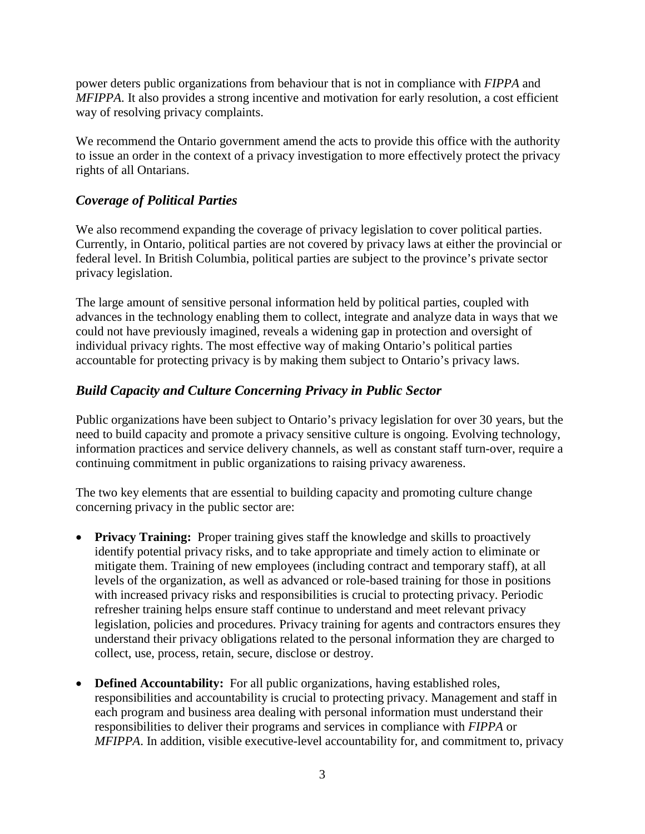power deters public organizations from behaviour that is not in compliance with *FIPPA* and *MFIPPA*. It also provides a strong incentive and motivation for early resolution, a cost efficient way of resolving privacy complaints.

We recommend the Ontario government amend the acts to provide this office with the authority to issue an order in the context of a privacy investigation to more effectively protect the privacy rights of all Ontarians.

### *Coverage of Political Parties*

We also recommend expanding the coverage of privacy legislation to cover political parties. Currently, in Ontario, political parties are not covered by privacy laws at either the provincial or federal level. In British Columbia, political parties are subject to the province's private sector privacy legislation.

The large amount of sensitive personal information held by political parties, coupled with advances in the technology enabling them to collect, integrate and analyze data in ways that we could not have previously imagined, reveals a widening gap in protection and oversight of individual privacy rights. The most effective way of making Ontario's political parties accountable for protecting privacy is by making them subject to Ontario's privacy laws.

#### *Build Capacity and Culture Concerning Privacy in Public Sector*

Public organizations have been subject to Ontario's privacy legislation for over 30 years, but the need to build capacity and promote a privacy sensitive culture is ongoing. Evolving technology, information practices and service delivery channels, as well as constant staff turn-over, require a continuing commitment in public organizations to raising privacy awareness.

The two key elements that are essential to building capacity and promoting culture change concerning privacy in the public sector are:

- **Privacy Training:** Proper training gives staff the knowledge and skills to proactively identify potential privacy risks, and to take appropriate and timely action to eliminate or mitigate them. Training of new employees (including contract and temporary staff), at all levels of the organization, as well as advanced or role-based training for those in positions with increased privacy risks and responsibilities is crucial to protecting privacy. Periodic refresher training helps ensure staff continue to understand and meet relevant privacy legislation, policies and procedures. Privacy training for agents and contractors ensures they understand their privacy obligations related to the personal information they are charged to collect, use, process, retain, secure, disclose or destroy.
- **Defined Accountability:** For all public organizations, having established roles, responsibilities and accountability is crucial to protecting privacy. Management and staff in each program and business area dealing with personal information must understand their responsibilities to deliver their programs and services in compliance with *FIPPA* or *MFIPPA*. In addition, visible executive-level accountability for, and commitment to, privacy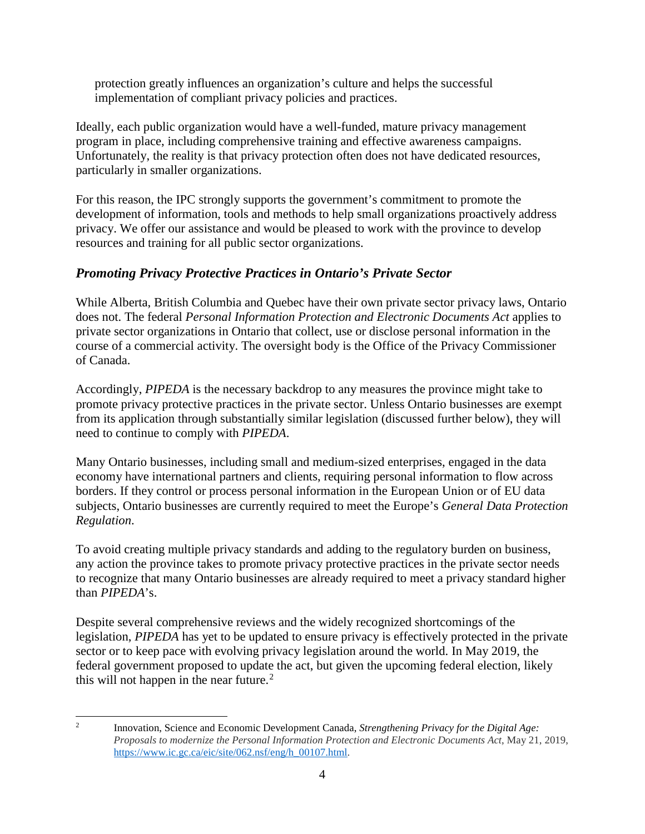protection greatly influences an organization's culture and helps the successful implementation of compliant privacy policies and practices.

Ideally, each public organization would have a well-funded, mature privacy management program in place, including comprehensive training and effective awareness campaigns. Unfortunately, the reality is that privacy protection often does not have dedicated resources, particularly in smaller organizations.

For this reason, the IPC strongly supports the government's commitment to promote the development of information, tools and methods to help small organizations proactively address privacy. We offer our assistance and would be pleased to work with the province to develop resources and training for all public sector organizations.

### *Promoting Privacy Protective Practices in Ontario's Private Sector*

While Alberta, British Columbia and Quebec have their own private sector privacy laws, Ontario does not. The federal *Personal Information Protection and Electronic Documents Act* applies to private sector organizations in Ontario that collect, use or disclose personal information in the course of a commercial activity. The oversight body is the Office of the Privacy Commissioner of Canada.

Accordingly, *PIPEDA* is the necessary backdrop to any measures the province might take to promote privacy protective practices in the private sector. Unless Ontario businesses are exempt from its application through substantially similar legislation (discussed further below), they will need to continue to comply with *PIPEDA*.

Many Ontario businesses, including small and medium-sized enterprises, engaged in the data economy have international partners and clients, requiring personal information to flow across borders. If they control or process personal information in the European Union or of EU data subjects, Ontario businesses are currently required to meet the Europe's *General Data Protection Regulation*.

To avoid creating multiple privacy standards and adding to the regulatory burden on business, any action the province takes to promote privacy protective practices in the private sector needs to recognize that many Ontario businesses are already required to meet a privacy standard higher than *PIPEDA*'s.

Despite several comprehensive reviews and the widely recognized shortcomings of the legislation, *PIPEDA* has yet to be updated to ensure privacy is effectively protected in the private sector or to keep pace with evolving privacy legislation around the world. In May 2019, the federal government proposed to update the act, but given the upcoming federal election, likely this will not happen in the near future.<sup>[2](#page-5-0)</sup>

<span id="page-5-0"></span> $\overline{2}$ <sup>2</sup> Innovation, Science and Economic Development Canada, *Strengthening Privacy for the Digital Age: Proposals to modernize the Personal Information Protection and Electronic Documents Act*, May 21, 2019, [https://www.ic.gc.ca/eic/site/062.nsf/eng/h\\_00107.html.](https://www.ic.gc.ca/eic/site/062.nsf/eng/h_00107.html)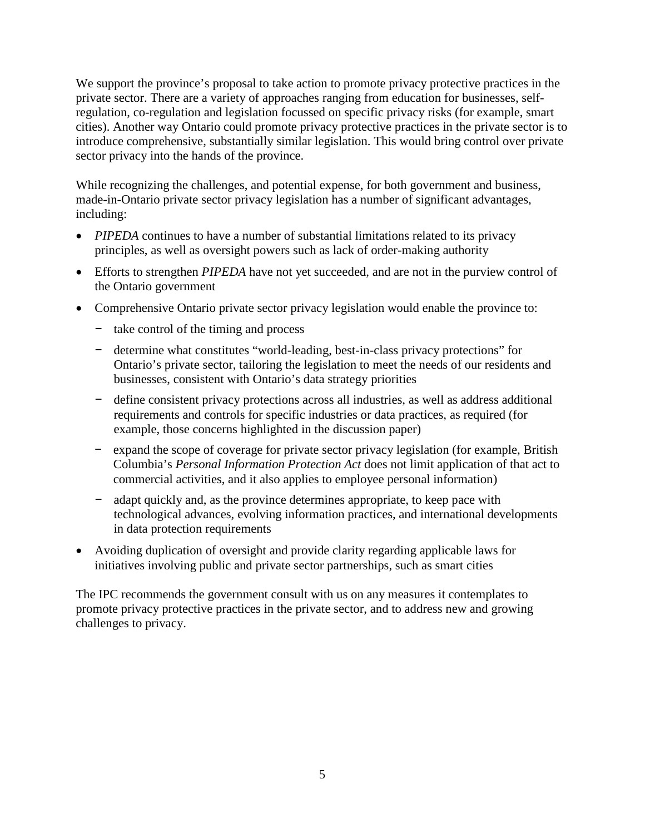We support the province's proposal to take action to promote privacy protective practices in the private sector. There are a variety of approaches ranging from education for businesses, selfregulation, co-regulation and legislation focussed on specific privacy risks (for example, smart cities). Another way Ontario could promote privacy protective practices in the private sector is to introduce comprehensive, substantially similar legislation. This would bring control over private sector privacy into the hands of the province.

While recognizing the challenges, and potential expense, for both government and business, made-in-Ontario private sector privacy legislation has a number of significant advantages, including:

- *PIPEDA* continues to have a number of substantial limitations related to its privacy principles, as well as oversight powers such as lack of order-making authority
- Efforts to strengthen *PIPEDA* have not yet succeeded, and are not in the purview control of the Ontario government
- Comprehensive Ontario private sector privacy legislation would enable the province to:
	- − take control of the timing and process
	- − determine what constitutes "world-leading, best-in-class privacy protections" for Ontario's private sector, tailoring the legislation to meet the needs of our residents and businesses, consistent with Ontario's data strategy priorities
	- − define consistent privacy protections across all industries, as well as address additional requirements and controls for specific industries or data practices, as required (for example, those concerns highlighted in the discussion paper)
	- − expand the scope of coverage for private sector privacy legislation (for example, British Columbia's *Personal Information Protection Act* does not limit application of that act to commercial activities, and it also applies to employee personal information)
	- − adapt quickly and, as the province determines appropriate, to keep pace with technological advances, evolving information practices, and international developments in data protection requirements
- Avoiding duplication of oversight and provide clarity regarding applicable laws for initiatives involving public and private sector partnerships, such as smart cities

The IPC recommends the government consult with us on any measures it contemplates to promote privacy protective practices in the private sector, and to address new and growing challenges to privacy.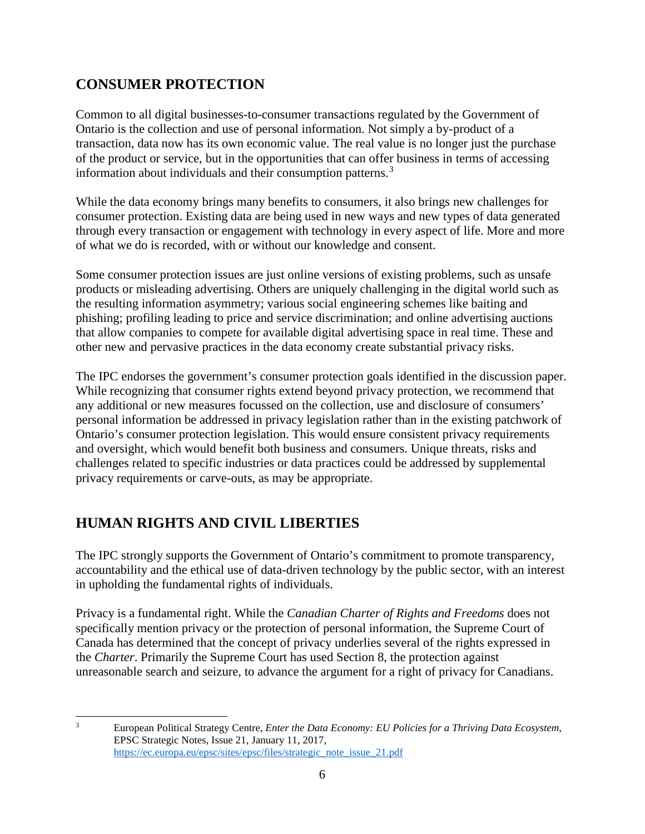# **CONSUMER PROTECTION**

Common to all digital businesses-to-consumer transactions regulated by the Government of Ontario is the collection and use of personal information. Not simply a by-product of a transaction, data now has its own economic value. The real value is no longer just the purchase of the product or service, but in the opportunities that can offer business in terms of accessing information about individuals and their consumption patterns. [3](#page-7-0)

While the data economy brings many benefits to consumers, it also brings new challenges for consumer protection. Existing data are being used in new ways and new types of data generated through every transaction or engagement with technology in every aspect of life. More and more of what we do is recorded, with or without our knowledge and consent.

Some consumer protection issues are just online versions of existing problems, such as unsafe products or misleading advertising. Others are uniquely challenging in the digital world such as the resulting information asymmetry; various social engineering schemes like baiting and phishing; profiling leading to price and service discrimination; and online advertising auctions that allow companies to compete for available digital advertising space in real time. These and other new and pervasive practices in the data economy create substantial privacy risks.

The IPC endorses the government's consumer protection goals identified in the discussion paper. While recognizing that consumer rights extend beyond privacy protection, we recommend that any additional or new measures focussed on the collection, use and disclosure of consumers' personal information be addressed in privacy legislation rather than in the existing patchwork of Ontario's consumer protection legislation. This would ensure consistent privacy requirements and oversight, which would benefit both business and consumers. Unique threats, risks and challenges related to specific industries or data practices could be addressed by supplemental privacy requirements or carve-outs, as may be appropriate.

# **HUMAN RIGHTS AND CIVIL LIBERTIES**

The IPC strongly supports the Government of Ontario's commitment to promote transparency, accountability and the ethical use of data-driven technology by the public sector, with an interest in upholding the fundamental rights of individuals.

Privacy is a fundamental right. While the *Canadian Charter of Rights and Freedoms* does not specifically mention privacy or the protection of personal information, the Supreme Court of Canada has determined that the concept of privacy underlies several of the rights expressed in the *Charter*. Primarily the Supreme Court has used Section 8, the protection against unreasonable search and seizure, to advance the argument for a right of privacy for Canadians.

<span id="page-7-0"></span> $\overline{3}$ <sup>3</sup> European Political Strategy Centre, *Enter the Data Economy: EU Policies for a Thriving Data Ecosystem*, EPSC Strategic Notes, Issue 21, January 11, 2017, [https://ec.europa.eu/epsc/sites/epsc/files/strategic\\_note\\_issue\\_21.pdf](https://ec.europa.eu/epsc/sites/epsc/files/strategic_note_issue_21.pdf)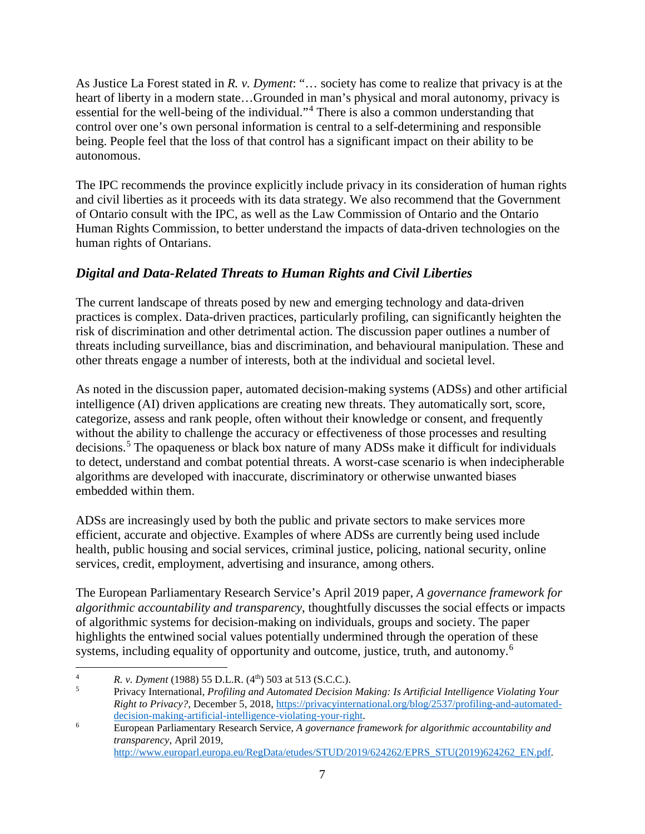As Justice La Forest stated in *R. v. Dyment*: "… society has come to realize that privacy is at the heart of liberty in a modern state...Grounded in man's physical and moral autonomy, privacy is essential for the well-being of the individual."[4](#page-8-0) There is also a common understanding that control over one's own personal information is central to a self-determining and responsible being. People feel that the loss of that control has a significant impact on their ability to be autonomous.

The IPC recommends the province explicitly include privacy in its consideration of human rights and civil liberties as it proceeds with its data strategy. We also recommend that the Government of Ontario consult with the IPC, as well as the Law Commission of Ontario and the Ontario Human Rights Commission, to better understand the impacts of data-driven technologies on the human rights of Ontarians.

### *Digital and Data-Related Threats to Human Rights and Civil Liberties*

The current landscape of threats posed by new and emerging technology and data-driven practices is complex. Data-driven practices, particularly profiling, can significantly heighten the risk of discrimination and other detrimental action. The discussion paper outlines a number of threats including surveillance, bias and discrimination, and behavioural manipulation. These and other threats engage a number of interests, both at the individual and societal level.

As noted in the discussion paper, automated decision-making systems (ADSs) and other artificial intelligence (AI) driven applications are creating new threats. They automatically sort, score, categorize, assess and rank people, often without their knowledge or consent, and frequently without the ability to challenge the accuracy or effectiveness of those processes and resulting decisions. [5](#page-8-1) The opaqueness or black box nature of many ADSs make it difficult for individuals to detect, understand and combat potential threats. A worst-case scenario is when indecipherable algorithms are developed with inaccurate, discriminatory or otherwise unwanted biases embedded within them.

ADSs are increasingly used by both the public and private sectors to make services more efficient, accurate and objective. Examples of where ADSs are currently being used include health, public housing and social services, criminal justice, policing, national security, online services, credit, employment, advertising and insurance, among others.

The European Parliamentary Research Service's April 2019 paper, *A governance framework for algorithmic accountability and transparency*, thoughtfully discusses the social effects or impacts of algorithmic systems for decision-making on individuals, groups and society. The paper highlights the entwined social values potentially undermined through the operation of these systems, including equality of opportunity and outcome, justice, truth, and autonomy.<sup>[6](#page-8-2)</sup>

 $\overline{A}$ 

<span id="page-8-1"></span><span id="page-8-0"></span><sup>&</sup>lt;sup>4</sup> *R. v. Dyment* (1988) 55 D.L.R. (4<sup>th</sup>) 503 at 513 (S.C.C.).<br><sup>5</sup> Privacy International, *Profiling and Automated Decision Making: Is Artificial Intelligence Violating Your Right to Privacy?,* December 5, 2018, [https://privacyinternational.org/blog/2537/profiling-and-automated](https://privacyinternational.org/blog/2537/profiling-and-automated-decision-making-artificial-intelligence-violating-your-right)[decision-making-artificial-intelligence-violating-your-right.](https://privacyinternational.org/blog/2537/profiling-and-automated-decision-making-artificial-intelligence-violating-your-right)

<span id="page-8-2"></span><sup>6</sup> European Parliamentary Research Service, *A governance framework for algorithmic accountability and transparency*, April 2019, [http://www.europarl.europa.eu/RegData/etudes/STUD/2019/624262/EPRS\\_STU\(2019\)624262\\_EN.pdf.](http://www.europarl.europa.eu/RegData/etudes/STUD/2019/624262/EPRS_STU(2019)624262_EN.pdf)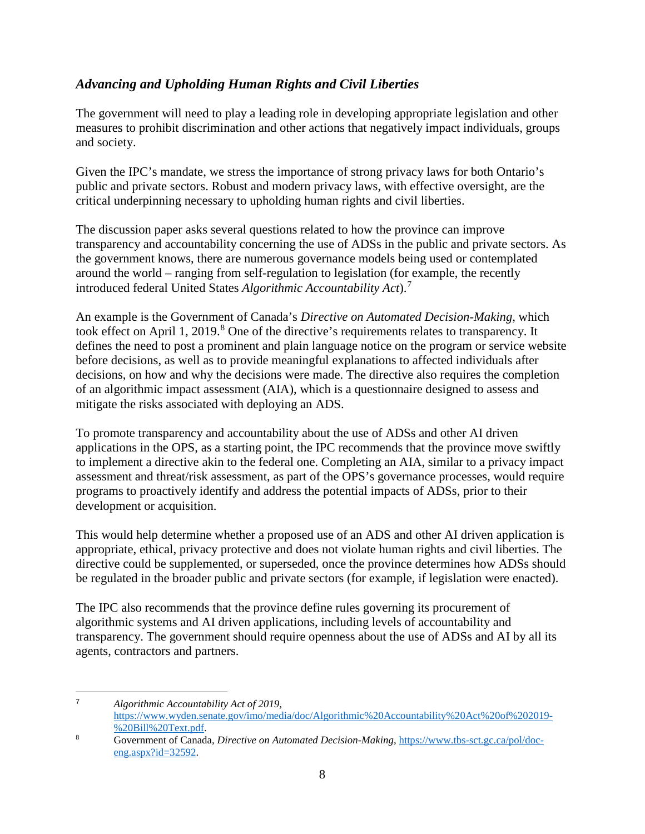## *Advancing and Upholding Human Rights and Civil Liberties*

The government will need to play a leading role in developing appropriate legislation and other measures to prohibit discrimination and other actions that negatively impact individuals, groups and society.

Given the IPC's mandate, we stress the importance of strong privacy laws for both Ontario's public and private sectors. Robust and modern privacy laws, with effective oversight, are the critical underpinning necessary to upholding human rights and civil liberties.

The discussion paper asks several questions related to how the province can improve transparency and accountability concerning the use of ADSs in the public and private sectors. As the government knows, there are numerous governance models being used or contemplated around the world – ranging from self-regulation to legislation (for example, the recently introduced federal United States *Algorithmic Accountability Act*). [7](#page-9-0)

An example is the Government of Canada's *Directive on Automated Decision-Making*, which took effect on April 1, 2019.<sup>[8](#page-9-1)</sup> One of the directive's requirements relates to transparency. It defines the need to post a prominent and plain language notice on the program or service website before decisions, as well as to provide meaningful explanations to affected individuals after decisions, on how and why the decisions were made. The directive also requires the completion of an algorithmic impact assessment (AIA), which is a questionnaire designed to assess and mitigate the risks associated with deploying an ADS.

To promote transparency and accountability about the use of ADSs and other AI driven applications in the OPS, as a starting point, the IPC recommends that the province move swiftly to implement a directive akin to the federal one. Completing an AIA, similar to a privacy impact assessment and threat/risk assessment, as part of the OPS's governance processes, would require programs to proactively identify and address the potential impacts of ADSs, prior to their development or acquisition.

This would help determine whether a proposed use of an ADS and other AI driven application is appropriate, ethical, privacy protective and does not violate human rights and civil liberties. The directive could be supplemented, or superseded, once the province determines how ADSs should be regulated in the broader public and private sectors (for example, if legislation were enacted).

The IPC also recommends that the province define rules governing its procurement of algorithmic systems and AI driven applications, including levels of accountability and transparency. The government should require openness about the use of ADSs and AI by all its agents, contractors and partners.

<span id="page-9-0"></span> <sup>7</sup> *Algorithmic Accountability Act of 2019*, [https://www.wyden.senate.gov/imo/media/doc/Algorithmic%20Accountability%20Act%20of%202019-](https://www.wyden.senate.gov/imo/media/doc/Algorithmic%20Accountability%20Act%20of%202019%20Bill%20Text.pdf) [%20Bill%20Text.pdf.](https://www.wyden.senate.gov/imo/media/doc/Algorithmic%20Accountability%20Act%20of%202019%20Bill%20Text.pdf)

<span id="page-9-1"></span><sup>8</sup> Government of Canada, *Directive on Automated Decision-Making*, [https://www.tbs-sct.gc.ca/pol/doc](https://www.tbs-sct.gc.ca/pol/doc-eng.aspx?id=32592)[eng.aspx?id=32592.](https://www.tbs-sct.gc.ca/pol/doc-eng.aspx?id=32592)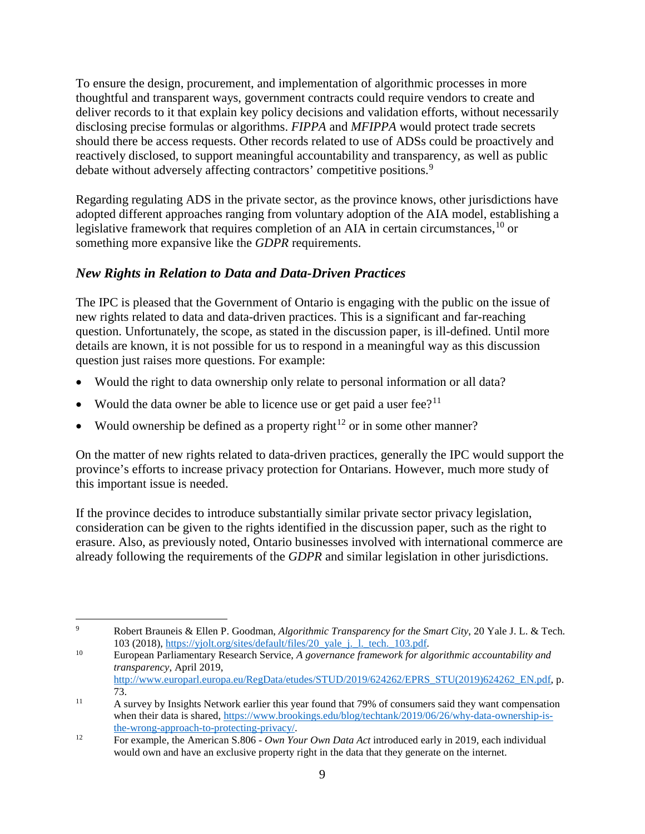To ensure the design, procurement, and implementation of algorithmic processes in more thoughtful and transparent ways, government contracts could require vendors to create and deliver records to it that explain key policy decisions and validation efforts, without necessarily disclosing precise formulas or algorithms. *FIPPA* and *MFIPPA* would protect trade secrets should there be access requests. Other records related to use of ADSs could be proactively and reactively disclosed, to support meaningful accountability and transparency, as well as public debate without adversely affecting contractors' competitive positions.<sup>[9](#page-10-0)</sup>

Regarding regulating ADS in the private sector, as the province knows, other jurisdictions have adopted different approaches ranging from voluntary adoption of the AIA model, establishing a legislative framework that requires completion of an AIA in certain circumstances, <sup>[10](#page-10-1)</sup> or something more expansive like the *GDPR* requirements.

### *New Rights in Relation to Data and Data-Driven Practices*

The IPC is pleased that the Government of Ontario is engaging with the public on the issue of new rights related to data and data-driven practices. This is a significant and far-reaching question. Unfortunately, the scope, as stated in the discussion paper, is ill-defined. Until more details are known, it is not possible for us to respond in a meaningful way as this discussion question just raises more questions. For example:

- Would the right to data ownership only relate to personal information or all data?
- Would the data owner be able to licence use or get paid a user fee?<sup>[11](#page-10-2)</sup>
- Would ownership be defined as a property right<sup>[12](#page-10-3)</sup> or in some other manner?

On the matter of new rights related to data-driven practices, generally the IPC would support the province's efforts to increase privacy protection for Ontarians. However, much more study of this important issue is needed.

If the province decides to introduce substantially similar private sector privacy legislation, consideration can be given to the rights identified in the discussion paper, such as the right to erasure. Also, as previously noted, Ontario businesses involved with international commerce are already following the requirements of the *GDPR* and similar legislation in other jurisdictions.

<span id="page-10-0"></span> $\overline{9}$ <sup>9</sup> Robert Brauneis & Ellen P. Goodman, *Algorithmic Transparency for the Smart City*, 20 Yale J. L. & Tech. 103 (2018), [https://yjolt.org/sites/default/files/20\\_yale\\_j.\\_l.\\_tech.\\_103.pdf.](https://yjolt.org/sites/default/files/20_yale_j._l._tech._103.pdf)

<span id="page-10-1"></span><sup>10</sup> European Parliamentary Research Service, *A governance framework for algorithmic accountability and transparency*, April 2019, [http://www.europarl.europa.eu/RegData/etudes/STUD/2019/624262/EPRS\\_STU\(2019\)624262\\_EN.pdf,](http://www.europarl.europa.eu/RegData/etudes/STUD/2019/624262/EPRS_STU(2019)624262_EN.pdf) p. 73.

<span id="page-10-2"></span><sup>11</sup> A survey by Insights Network earlier this year found that 79% of consumers said they want compensation when their data is shared, [https://www.brookings.edu/blog/techtank/2019/06/26/why-data-ownership-is](https://www.brookings.edu/blog/techtank/2019/06/26/why-data-ownership-is-the-wrong-approach-to-protecting-privacy/)[the-wrong-approach-to-protecting-privacy/.](https://www.brookings.edu/blog/techtank/2019/06/26/why-data-ownership-is-the-wrong-approach-to-protecting-privacy/)

<span id="page-10-3"></span><sup>12</sup> For example, the American S.806 - *Own Your Own Data Act* introduced early in 2019, each individual would own and have an exclusive property right in the data that they generate on the internet.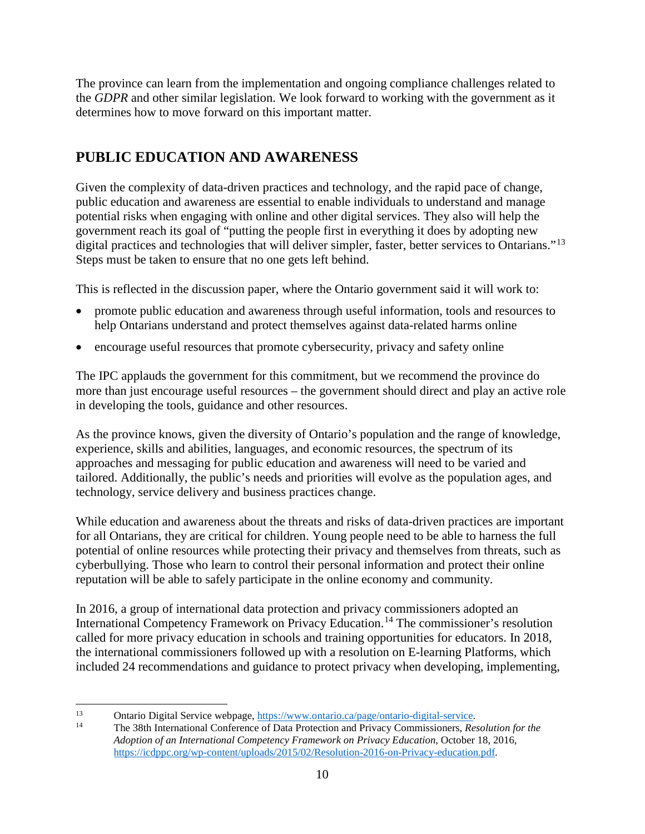The province can learn from the implementation and ongoing compliance challenges related to the *GDPR* and other similar legislation. We look forward to working with the government as it determines how to move forward on this important matter.

# **PUBLIC EDUCATION AND AWARENESS**

Given the complexity of data-driven practices and technology, and the rapid pace of change, public education and awareness are essential to enable individuals to understand and manage potential risks when engaging with online and other digital services. They also will help the government reach its goal of "putting the people first in everything it does by adopting new digital practices and technologies that will deliver simpler, faster, better services to Ontarians."<sup>13</sup> Steps must be taken to ensure that no one gets left behind.

This is reflected in the discussion paper, where the Ontario government said it will work to:

- promote public education and awareness through useful information, tools and resources to help Ontarians understand and protect themselves against data-related harms online
- encourage useful resources that promote cybersecurity, privacy and safety online

The IPC applauds the government for this commitment, but we recommend the province do more than just encourage useful resources – the government should direct and play an active role in developing the tools, guidance and other resources.

As the province knows, given the diversity of Ontario's population and the range of knowledge, experience, skills and abilities, languages, and economic resources, the spectrum of its approaches and messaging for public education and awareness will need to be varied and tailored. Additionally, the public's needs and priorities will evolve as the population ages, and technology, service delivery and business practices change.

While education and awareness about the threats and risks of data-driven practices are important for all Ontarians, they are critical for children. Young people need to be able to harness the full potential of online resources while protecting their privacy and themselves from threats, such as cyberbullying. Those who learn to control their personal information and protect their online reputation will be able to safely participate in the online economy and community.

In 2016, a group of international data protection and privacy commissioners adopted an International Competency Framework on Privacy Education.[14](#page-11-1) The commissioner's resolution called for more privacy education in schools and training opportunities for educators. In 2018, the international commissioners followed up with a resolution on E-learning Platforms, which included 24 recommendations and guidance to protect privacy when developing, implementing,

<span id="page-11-1"></span><span id="page-11-0"></span> $13$ <sup>13</sup> Ontario Digital Service webpage,  $\frac{https://www.ontario.ca/page/ontario-digital-service.}{https://www.ontario.ca/page/ontario-digital-service.}$ 

<sup>14</sup> The 38th International Conference of Data Protection and Privacy Commissioners, *Resolution for the Adoption of an International Competency Framework on Privacy Education*, October 18, 2016, [https://icdppc.org/wp-content/uploads/2015/02/Resolution-2016-on-Privacy-education.pdf.](https://icdppc.org/wp-content/uploads/2015/02/Resolution-2016-on-Privacy-education.pdf)